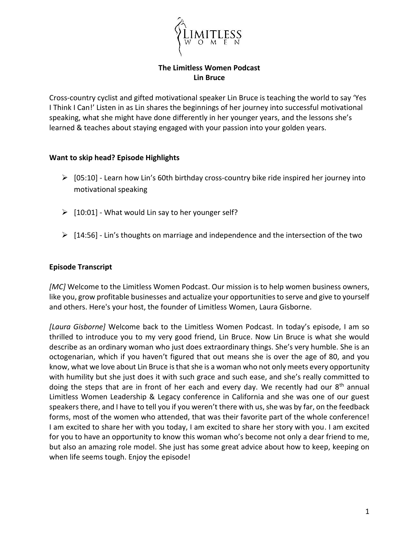

## **The Limitless Women Podcast Lin Bruce**

Cross-country cyclist and gifted motivational speaker Lin Bruce is teaching the world to say 'Yes I Think I Can!' Listen in as Lin shares the beginnings of her journey into successful motivational speaking, what she might have done differently in her younger years, and the lessons she's learned & teaches about staying engaged with your passion into your golden years.

## **Want to skip head? Episode Highlights**

- $\triangleright$  [05:10] Learn how Lin's 60th birthday cross-country bike ride inspired her journey into motivational speaking
- $\geq$  [10:01] What would Lin say to her younger self?
- $\triangleright$  [14:56] Lin's thoughts on marriage and independence and the intersection of the two

## **Episode Transcript**

*[MC]* Welcome to the Limitless Women Podcast. Our mission is to help women business owners, like you, grow profitable businesses and actualize your opportunities to serve and give to yourself and others. Here's your host, the founder of Limitless Women, Laura Gisborne.

*[Laura Gisborne]* Welcome back to the Limitless Women Podcast. In today's episode, I am so thrilled to introduce you to my very good friend, Lin Bruce. Now Lin Bruce is what she would describe as an ordinary woman who just does extraordinary things. She's very humble. She is an octogenarian, which if you haven't figured that out means she is over the age of 80, and you know, what we love about Lin Bruce is that she is a woman who not only meets every opportunity with humility but she just does it with such grace and such ease, and she's really committed to doing the steps that are in front of her each and every day. We recently had our  $8<sup>th</sup>$  annual Limitless Women Leadership & Legacy conference in California and she was one of our guest speakers there, and I have to tell you if you weren't there with us, she was by far, on the feedback forms, most of the women who attended, that was their favorite part of the whole conference! I am excited to share her with you today, I am excited to share her story with you. I am excited for you to have an opportunity to know this woman who's become not only a dear friend to me, but also an amazing role model. She just has some great advice about how to keep, keeping on when life seems tough. Enjoy the episode!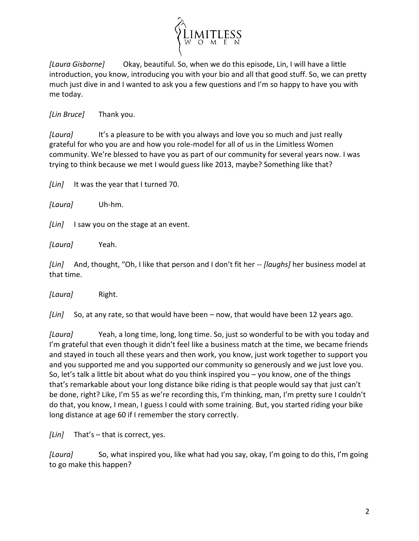

*[Laura Gisborne]* Okay, beautiful. So, when we do this episode, Lin, I will have a little introduction, you know, introducing you with your bio and all that good stuff. So, we can pretty much just dive in and I wanted to ask you a few questions and I'm so happy to have you with me today.

*[Lin Bruce]* Thank you.

*[Laura]* It's a pleasure to be with you always and love you so much and just really grateful for who you are and how you role-model for all of us in the Limitless Women community. We're blessed to have you as part of our community for several years now. I was trying to think because we met I would guess like 2013, maybe? Something like that?

*[Lin]* It was the year that I turned 70.

*[Laura]* Uh-hm.

*[Lin]* I saw you on the stage at an event.

*[Laura]* Yeah.

*[Lin]* And, thought, "Oh, I like that person and I don't fit her -- *[laughs]* her business model at that time.

*[Laura]* Right.

*[Lin]* So, at any rate, so that would have been – now, that would have been 12 years ago.

*[Laura]* Yeah, a long time, long, long time. So, just so wonderful to be with you today and I'm grateful that even though it didn't feel like a business match at the time, we became friends and stayed in touch all these years and then work, you know, just work together to support you and you supported me and you supported our community so generously and we just love you. So, let's talk a little bit about what do you think inspired you – you know, one of the things that's remarkable about your long distance bike riding is that people would say that just can't be done, right? Like, I'm 55 as we're recording this, I'm thinking, man, I'm pretty sure I couldn't do that, you know, I mean, I guess I could with some training. But, you started riding your bike long distance at age 60 if I remember the story correctly.

*[Lin]* That's – that is correct, yes.

*[Laura]* So, what inspired you, like what had you say, okay, I'm going to do this, I'm going to go make this happen?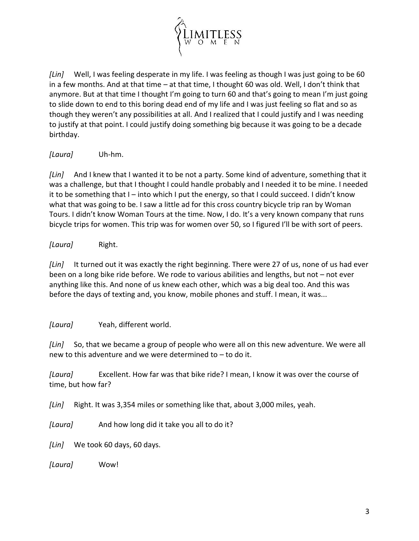

*[Lin]* Well, I was feeling desperate in my life. I was feeling as though I was just going to be 60 in a few months. And at that time – at that time, I thought 60 was old. Well, I don't think that anymore. But at that time I thought I'm going to turn 60 and that's going to mean I'm just going to slide down to end to this boring dead end of my life and I was just feeling so flat and so as though they weren't any possibilities at all. And I realized that I could justify and I was needing to justify at that point. I could justify doing something big because it was going to be a decade birthday.

*[Laura]* Uh-hm.

*[Lin]* And I knew that I wanted it to be not a party. Some kind of adventure, something that it was a challenge, but that I thought I could handle probably and I needed it to be mine. I needed it to be something that I – into which I put the energy, so that I could succeed. I didn't know what that was going to be. I saw a little ad for this cross country bicycle trip ran by Woman Tours. I didn't know Woman Tours at the time. Now, I do. It's a very known company that runs bicycle trips for women. This trip was for women over 50, so I figured I'll be with sort of peers.

*[Laura]* Right.

*[Lin]* It turned out it was exactly the right beginning. There were 27 of us, none of us had ever been on a long bike ride before. We rode to various abilities and lengths, but not – not ever anything like this. And none of us knew each other, which was a big deal too. And this was before the days of texting and, you know, mobile phones and stuff. I mean, it was...

*[Laura]* Yeah, different world.

*[Lin]* So, that we became a group of people who were all on this new adventure. We were all new to this adventure and we were determined to – to do it.

*[Laura]* Excellent. How far was that bike ride? I mean, I know it was over the course of time, but how far?

*[Lin]* Right. It was 3,354 miles or something like that, about 3,000 miles, yeah.

*[Laura]* And how long did it take you all to do it?

*[Lin]* We took 60 days, 60 days.

*[Laura]* Wow!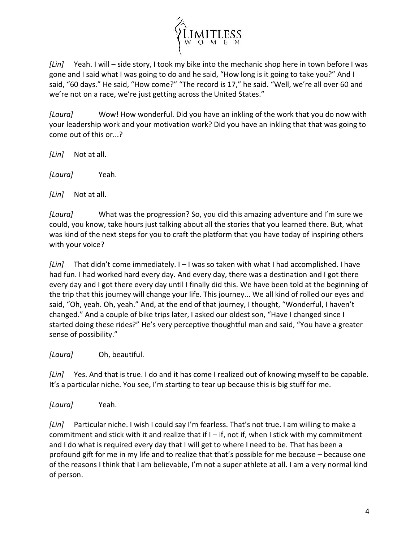

*[Lin]* Yeah. I will – side story, I took my bike into the mechanic shop here in town before I was gone and I said what I was going to do and he said, "How long is it going to take you?" And I said, "60 days." He said, "How come?" "The record is 17," he said. "Well, we're all over 60 and we're not on a race, we're just getting across the United States."

*[Laura]* Wow! How wonderful. Did you have an inkling of the work that you do now with your leadership work and your motivation work? Did you have an inkling that that was going to come out of this or...?

*[Lin]* Not at all.

*[Laura]* Yeah.

*[Lin]* Not at all.

*[Laura]* What was the progression? So, you did this amazing adventure and I'm sure we could, you know, take hours just talking about all the stories that you learned there. But, what was kind of the next steps for you to craft the platform that you have today of inspiring others with your voice?

*[Lin]* That didn't come immediately. I – I was so taken with what I had accomplished. I have had fun. I had worked hard every day. And every day, there was a destination and I got there every day and I got there every day until I finally did this. We have been told at the beginning of the trip that this journey will change your life. This journey... We all kind of rolled our eyes and said, "Oh, yeah. Oh, yeah." And, at the end of that journey, I thought, "Wonderful, I haven't changed." And a couple of bike trips later, I asked our oldest son, "Have I changed since I started doing these rides?" He's very perceptive thoughtful man and said, "You have a greater sense of possibility."

*[Laura]* Oh, beautiful.

*[Lin]* Yes. And that is true. I do and it has come I realized out of knowing myself to be capable. It's a particular niche. You see, I'm starting to tear up because this is big stuff for me.

*[Laura]* Yeah.

*[Lin]* Particular niche. I wish I could say I'm fearless. That's not true. I am willing to make a commitment and stick with it and realize that if  $I - if$ , not if, when I stick with my commitment and I do what is required every day that I will get to where I need to be. That has been a profound gift for me in my life and to realize that that's possible for me because – because one of the reasons I think that I am believable, I'm not a super athlete at all. I am a very normal kind of person.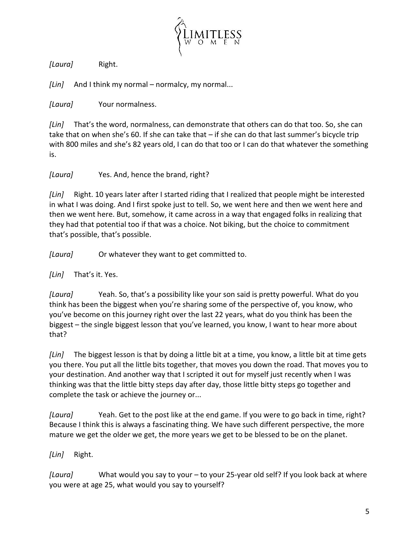

*[Laura]* Right.

*[Lin]* And I think my normal – normalcy, my normal...

*[Laura]* Your normalness.

*[Lin]* That's the word, normalness, can demonstrate that others can do that too. So, she can take that on when she's 60. If she can take that – if she can do that last summer's bicycle trip with 800 miles and she's 82 years old, I can do that too or I can do that whatever the something is.

*[Laura]* Yes. And, hence the brand, right?

*[Lin]* Right. 10 years later after I started riding that I realized that people might be interested in what I was doing. And I first spoke just to tell. So, we went here and then we went here and then we went here. But, somehow, it came across in a way that engaged folks in realizing that they had that potential too if that was a choice. Not biking, but the choice to commitment that's possible, that's possible.

*[Laura]* Or whatever they want to get committed to.

*[Lin]* That's it. Yes.

*[Laura]* Yeah. So, that's a possibility like your son said is pretty powerful. What do you think has been the biggest when you're sharing some of the perspective of, you know, who you've become on this journey right over the last 22 years, what do you think has been the biggest – the single biggest lesson that you've learned, you know, I want to hear more about that?

*[Lin]* The biggest lesson is that by doing a little bit at a time, you know, a little bit at time gets you there. You put all the little bits together, that moves you down the road. That moves you to your destination. And another way that I scripted it out for myself just recently when I was thinking was that the little bitty steps day after day, those little bitty steps go together and complete the task or achieve the journey or...

*[Laura]* Yeah. Get to the post like at the end game. If you were to go back in time, right? Because I think this is always a fascinating thing. We have such different perspective, the more mature we get the older we get, the more years we get to be blessed to be on the planet.

*[Lin]* Right.

*[Laura]* What would you say to your – to your 25-year old self? If you look back at where you were at age 25, what would you say to yourself?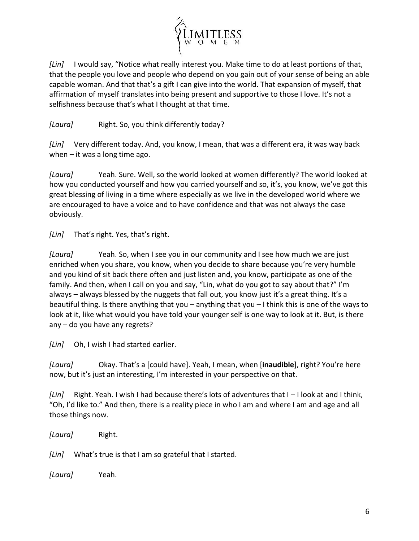

*[Lin]* I would say, "Notice what really interest you. Make time to do at least portions of that, that the people you love and people who depend on you gain out of your sense of being an able capable woman. And that that's a gift I can give into the world. That expansion of myself, that affirmation of myself translates into being present and supportive to those I love. It's not a selfishness because that's what I thought at that time.

*[Laura]* Right. So, you think differently today?

*[Lin]* Very different today. And, you know, I mean, that was a different era, it was way back when  $-$  it was a long time ago.

*[Laura]* Yeah. Sure. Well, so the world looked at women differently? The world looked at how you conducted yourself and how you carried yourself and so, it's, you know, we've got this great blessing of living in a time where especially as we live in the developed world where we are encouraged to have a voice and to have confidence and that was not always the case obviously.

*[Lin]* That's right. Yes, that's right.

*[Laura]* Yeah. So, when I see you in our community and I see how much we are just enriched when you share, you know, when you decide to share because you're very humble and you kind of sit back there often and just listen and, you know, participate as one of the family. And then, when I call on you and say, "Lin, what do you got to say about that?" I'm always – always blessed by the nuggets that fall out, you know just it's a great thing. It's a beautiful thing. Is there anything that you – anything that you – I think this is one of the ways to look at it, like what would you have told your younger self is one way to look at it. But, is there any – do you have any regrets?

*[Lin]* Oh, I wish I had started earlier.

*[Laura]* Okay. That's a [could have]. Yeah, I mean, when [**inaudible**], right? You're here now, but it's just an interesting, I'm interested in your perspective on that.

*[Lin]* Right. Yeah. I wish I had because there's lots of adventures that I – I look at and I think, "Oh, I'd like to." And then, there is a reality piece in who I am and where I am and age and all those things now.

*[Laura]* Right.

*[Lin]* What's true is that I am so grateful that I started.

*[Laura]* Yeah.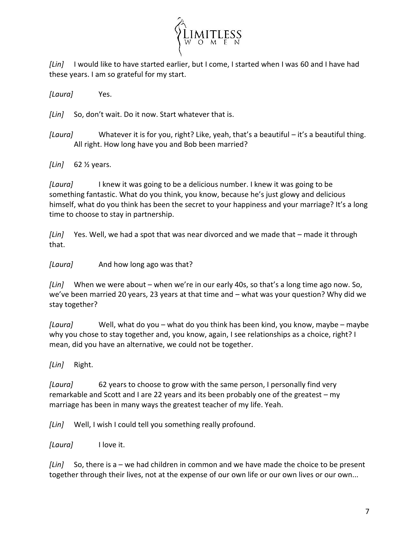

*[Lin]* I would like to have started earlier, but I come, I started when I was 60 and I have had these years. I am so grateful for my start.

*[Laura]* Yes.

*[Lin]* So, don't wait. Do it now. Start whatever that is.

*[Laura]* Whatever it is for you, right? Like, yeah, that's a beautiful – it's a beautiful thing. All right. How long have you and Bob been married?

*[Lin]* 62 ½ years.

*[Laura]* I knew it was going to be a delicious number. I knew it was going to be something fantastic. What do you think, you know, because he's just glowy and delicious himself, what do you think has been the secret to your happiness and your marriage? It's a long time to choose to stay in partnership.

*[Lin]* Yes. Well, we had a spot that was near divorced and we made that – made it through that.

*[Laura]* And how long ago was that?

*[Lin]* When we were about – when we're in our early 40s, so that's a long time ago now. So, we've been married 20 years, 23 years at that time and – what was your question? Why did we stay together?

*[Laura]* Well, what do you – what do you think has been kind, you know, maybe – maybe why you chose to stay together and, you know, again, I see relationships as a choice, right? I mean, did you have an alternative, we could not be together.

*[Lin]* Right.

*[Laura]* 62 years to choose to grow with the same person, I personally find very remarkable and Scott and I are 22 years and its been probably one of the greatest – my marriage has been in many ways the greatest teacher of my life. Yeah.

*[Lin]* Well, I wish I could tell you something really profound.

*[Laura]* I love it.

*[Lin]* So, there is a – we had children in common and we have made the choice to be present together through their lives, not at the expense of our own life or our own lives or our own...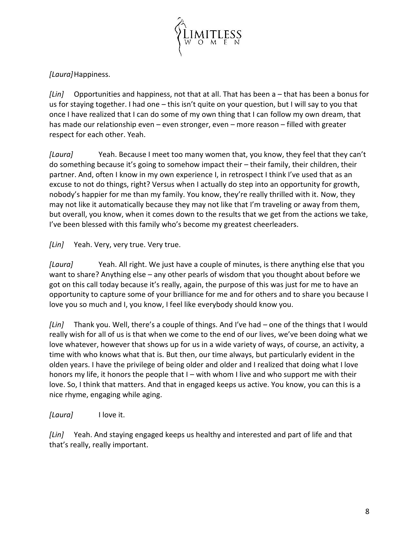

*[Laura]*Happiness.

*[Lin]* Opportunities and happiness, not that at all. That has been a – that has been a bonus for us for staying together. I had one – this isn't quite on your question, but I will say to you that once I have realized that I can do some of my own thing that I can follow my own dream, that has made our relationship even – even stronger, even – more reason – filled with greater respect for each other. Yeah.

*[Laura]* Yeah. Because I meet too many women that, you know, they feel that they can't do something because it's going to somehow impact their – their family, their children, their partner. And, often I know in my own experience I, in retrospect I think I've used that as an excuse to not do things, right? Versus when I actually do step into an opportunity for growth, nobody's happier for me than my family. You know, they're really thrilled with it. Now, they may not like it automatically because they may not like that I'm traveling or away from them, but overall, you know, when it comes down to the results that we get from the actions we take, I've been blessed with this family who's become my greatest cheerleaders.

*[Lin]* Yeah. Very, very true. Very true.

*[Laura]* Yeah. All right. We just have a couple of minutes, is there anything else that you want to share? Anything else – any other pearls of wisdom that you thought about before we got on this call today because it's really, again, the purpose of this was just for me to have an opportunity to capture some of your brilliance for me and for others and to share you because I love you so much and I, you know, I feel like everybody should know you.

*[Lin]* Thank you. Well, there's a couple of things. And I've had – one of the things that I would really wish for all of us is that when we come to the end of our lives, we've been doing what we love whatever, however that shows up for us in a wide variety of ways, of course, an activity, a time with who knows what that is. But then, our time always, but particularly evident in the olden years. I have the privilege of being older and older and I realized that doing what I love honors my life, it honors the people that I – with whom I live and who support me with their love. So, I think that matters. And that in engaged keeps us active. You know, you can this is a nice rhyme, engaging while aging.

*[Laura]* I love it.

*[Lin]* Yeah. And staying engaged keeps us healthy and interested and part of life and that that's really, really important.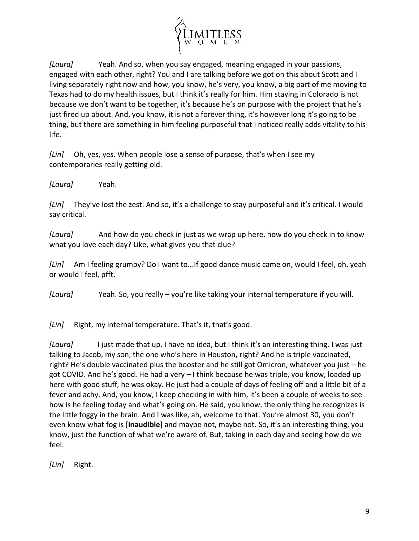

*[Laura]* Yeah. And so, when you say engaged, meaning engaged in your passions, engaged with each other, right? You and I are talking before we got on this about Scott and I living separately right now and how, you know, he's very, you know, a big part of me moving to Texas had to do my health issues, but I think it's really for him. Him staying in Colorado is not because we don't want to be together, it's because he's on purpose with the project that he's just fired up about. And, you know, it is not a forever thing, it's however long it's going to be thing, but there are something in him feeling purposeful that I noticed really adds vitality to his life.

*[Lin]* Oh, yes, yes. When people lose a sense of purpose, that's when I see my contemporaries really getting old.

*[Laura]* Yeah.

*[Lin]* They've lost the zest. And so, it's a challenge to stay purposeful and it's critical. I would say critical.

*[Laura]* And how do you check in just as we wrap up here, how do you check in to know what you love each day? Like, what gives you that clue?

*[Lin]* Am I feeling grumpy? Do I want to...If good dance music came on, would I feel, oh, yeah or would I feel, pfft.

*[Laura]* Yeah. So, you really – you're like taking your internal temperature if you will.

*[Lin]* Right, my internal temperature. That's it, that's good.

*[Laura]* I just made that up. I have no idea, but I think it's an interesting thing. I was just talking to Jacob, my son, the one who's here in Houston, right? And he is triple vaccinated, right? He's double vaccinated plus the booster and he still got Omicron, whatever you just – he got COVID. And he's good. He had a very – I think because he was triple, you know, loaded up here with good stuff, he was okay. He just had a couple of days of feeling off and a little bit of a fever and achy. And, you know, I keep checking in with him, it's been a couple of weeks to see how is he feeling today and what's going on. He said, you know, the only thing he recognizes is the little foggy in the brain. And I was like, ah, welcome to that. You're almost 30, you don't even know what fog is [**inaudible**] and maybe not, maybe not. So, it's an interesting thing, you know, just the function of what we're aware of. But, taking in each day and seeing how do we feel.

*[Lin]* Right.